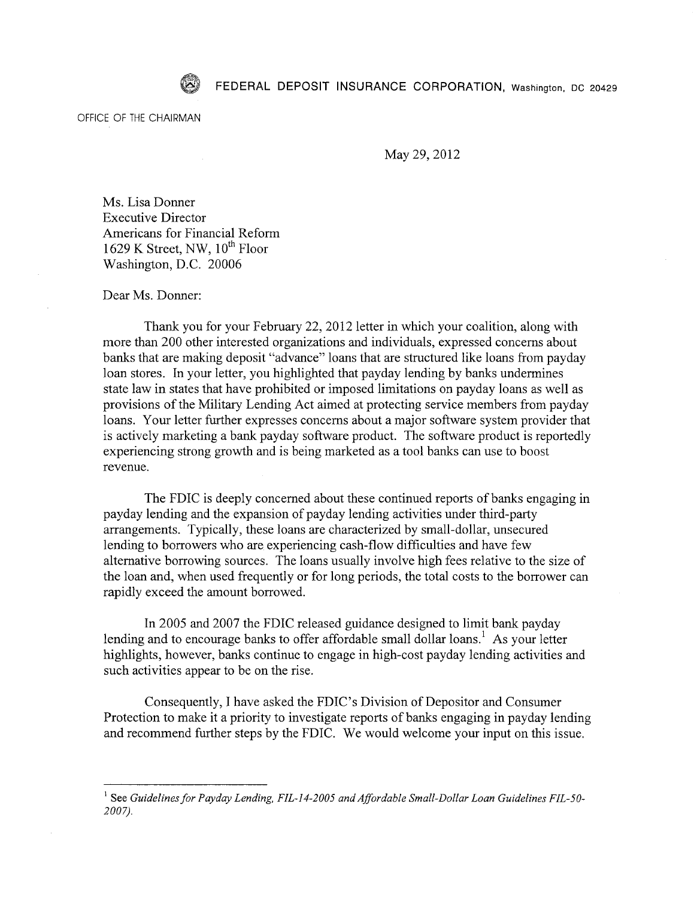

OFFICE OF THE CHAIRMAN

May 29, 2012

Ms. Lisa Donner Executive Director Americans for Financial Reform 1629 K Street, NW,  $10^{th}$  Floor Washington, D.C. 20006

## Dear Ms. Donner:

Thank you for your February 22, 2012 letter in which your coalition, along with more than 200 other interested organizations and individuals, expressed concerns about banks that are making deposit "advance" loans that are structured like loans from payday loan stores. In your letter, you highlighted that payday lending by banks undermines state law in states that have prohibited or imposed limitations on payday loans as well as provisions of the Military Lending Act aimed at protecting service members from payday loans. Your letter further expresses concerns about a major software system provider that is actively marketing a bank payday software product. The software product is reportedly experiencing strong growth and is being marketed as a tool banks can use to boost revenue.

The FDIC is deeply concerned about these continued reports of banks engaging in payday lending and the expansion of payday lending activities under third-party arrangements. Typically, these loans are characterized by small-dollar, unsecured lending to borrowers who are experiencing cash-flow difficulties and have few alternative borrowing sources. The loans usually involve high fees relative to the size of the loan and, when used frequently or for long periods, the total costs to the borrower can rapidly exceed the amount borrowed.

In 2005 and 2007 the FDIC released guidance designed to limit bank payday lending and to encourage banks to offer affordable small dollar loans.' As your letter highlights, however, banks continue to engage in high-cost payday lending activities and such activities appear to be on the rise.

Consequently, I have asked the FDIC's Division of Depositor and Consumer Protection to make it a priority to investigate reports of banks engaging in payday lending and recommend further steps by the FDIC. We would welcome your input on this issue.

See *Guidelines for Payday Lending, FIL-14-2005 and Affordable Small-Dollar Loan Guidelines FIL-50- 200 7).*